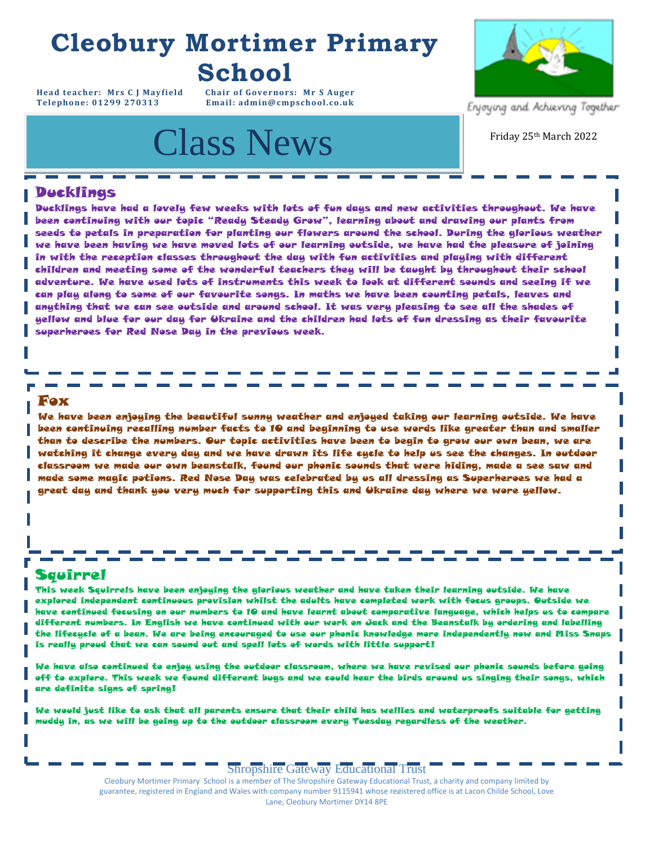# **Cleobury Mortimer Primary School**

**Head teacher: Mrs C J Mayfield Chair of Governors: Mr S Auger**  $Email: admin@cmpschool.co.uk$ 

# **Class News** Friday 25th March 2022



Enjoying and Achieving Together

#### Ducklings

Ducklings have had a lovely few weeks with lots of fun days and new activities throughout. We have been continuing with our topic "Ready Steady Grow", learning about and drawing our plants from seeds to petals in preparation for planting our flowers around the school. During the glorious weather we have been having we have moved lots of our learning outside, we have had the pleasure of joining in with the reception classes throughout the day with fun activities and playing with different children and meeting some of the wonderful teachers they will be taught by throughout their school adventure. We have used lots of instruments this week to look at different sounds and seeing if we can play along to some of our favourite songs. In maths we have been counting petals, leaves and anything that we can see outside and around school. It was very pleasing to see all the shades of yellow and blue for our day for Ukraine and the children had lots of fun dressing as their favourite superheroes for Red Nose Day in the previous week.

#### Fox

We have been enjoying the beautiful sunny weather and enjoyed taking our learning outside. We have been continuing recalling number facts to 10 and beginning to use words like greater than and smaller than to describe the numbers. Our topic activities have been to begin to grow our own bean, we are watching it change every day and we have drawn its life cycle to help us see the changes. In outdoor classroom we made our own beanstalk, found our phonic sounds that were hiding, made a see saw and made some magic potions. Red Nose Day was celebrated by us all dressing as Superheroes we had a great day and thank you very much for supporting this and Ukraine day where we wore yellow.

#### Squirrel

This week Squirrels have been enjoying the glorious weather and have taken their learning outside. We have explored independent continuous provision whilst the adults have completed work with focus groups. Outside we have continued focusing on our numbers to 10 and have learnt about comparative language, which helps us to compare different numbers. In English we have continued with our work on Jack and the Beanstalk by ordering and labelling the lifecycle of a bean. We are being encouraged to use our phonic knowledge more independently now and Miss Snaps is really proud that we can sound out and spell lots of words with little support!

We have also continued to enjoy using the outdoor classroom, where we have revised our phonic sounds before going off to explore. This week we found different bugs and we could hear the birds around us singing their songs, which are definite signs of spring!

We would just like to ask that all parents ensure that their child has wellies and waterproofs suitable for getting muddy in, as we will be going up to the outdoor classroom every Tuesday regardless of the weather.

#### Shropshire Gateway Educational Trust

Cleobury Mortimer Primary School is a member of The Shropshire Gateway Educational Trust, a charity and company limited by guarantee, registered in England and Wales with company number 9115941 whose registered office is at Lacon Childe School, Love<br>Lane, Cleobury Mortimer DY14 8PE Lane, Cleobury Mortimer DY14 8PE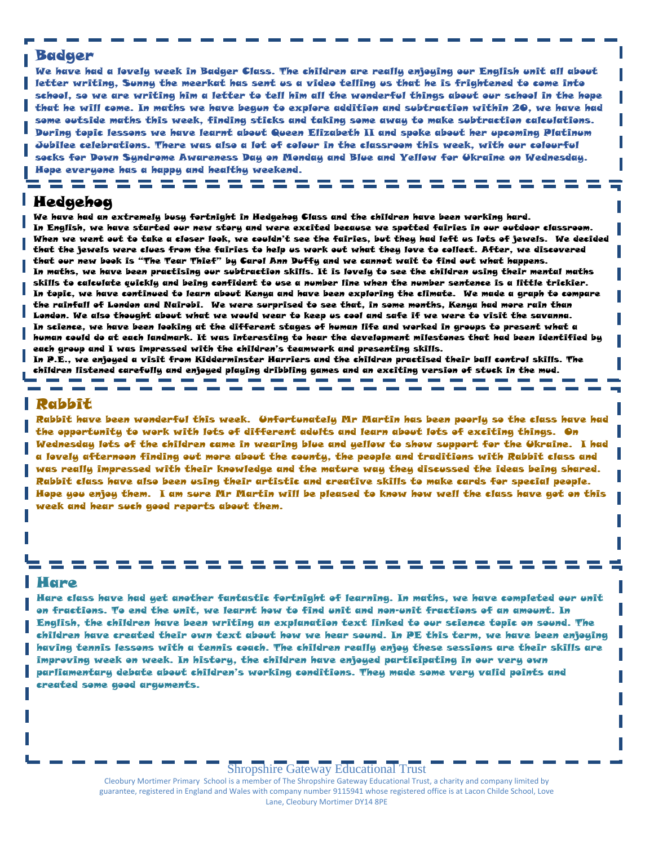#### Badger

socks for Down Syndrome Awareness Day on Monday and Blue and Yellow for Ukraine on Wednesday.<br>... We have had a lovely week in Badger Class. The children are really enjoying our English unit all about letter writing, Sunny the meerkat has sent us a video telling us that he is frightened to come into school, so we are writing him a letter to tell him all the wonderful things about our school in the hope that he will come. In maths we have begun to explore addition and subtraction within 20, we have had some outside maths this week, finding sticks and taking some away to make subtraction calculations. During topic lessons we have learnt about Queen Elizabeth II and spoke about her upcoming Platinum Jubilee celebrations. There was also a lot of colour in the classroom this week, with our colourful Hope everyone has a happy and healthy weekend.

= = = = = = = = = = = = = = = =

. . . . . . . . . . . . .

#### Hedgehog

**For your** We have had an extremely busy fortnight in Hedgehog Class and the children have been working hard. **Calendar:**  In English, we have started our new story and were excited because we spotted fairies in our outdoor classroom. When we went out to take a closer look, we couldn't see the fairies, but they had left us lots of jewels. We decided that the jewels were clues from the fairies to help us work out what they love to collect. After, we discovered that our new book is "The Tear Thief" by Carol Ann Duffy and we cannot wait to find out what happens. In maths, we have been practising our subtraction skills. It is lovely to see the children using their mental maths skills to calculate quickly and being confident to use a number line when the number sentence is a little trickier. In topic, we have continued to learn about Kenya and have been exploring the climate. We made a graph to compare the rainfall of London and Nairobi. We were surprised to see that, in some months, Kenya had more rain than London. We also thought about what we would wear to keep us cool and safe if we were to visit the savanna. In science, we have been looking at the different stages of human life and worked in groups to present what a human could do at each landmark. It was interesting to hear the development milestones that had been identified by each group and I was impressed with the children's teamwork and presenting skills.

In P.E., we enjoyed a visit from Kidderminster Harriers and the children practised their ball control skills. The children listened carefully and enjoyed playing dribbling games and an exciting version of stuck in the mud.

#### Rabbit

Rabbit have been wonderful this week. Unfortunately Mr Martin has been poorly so the class have had the opportunity to work with lots of different adults and learn about lots of exciting things. On Wednesday lots of the children came in wearing blue and yellow to show support for the Ukraine. I had a lovely afternoon finding out more about the county, the people and traditions with Rabbit class and was really impressed with their knowledge and the mature way they discussed the ideas being shared. Rabbit class have also been using their artistic and creative skills to make cards for special people. Hope you enjoy them. I am sure Mr Martin will be pleased to know how well the class have got on this week and hear such good reports about them.

#### Hare

Hare class have had yet another fantastic fortnight of learning. In maths, we have completed our unit on fractions. To end the unit, we learnt how to find unit and non-unit fractions of an amount. In English, the children have been writing an explanation text linked to our science topic on sound. The children have created their own text about how we hear sound. In PE this term, we have been enjoying having tennis lessons with a tennis coach. The children really enjoy these sessions are their skills are improving week on week. In history, the children have enjoyed participating in our very own parliamentary debate about children's working conditions. They made some very valid points and created some good arguments.

---------

#### Shropshire Gateway Educational Trust

Cleobury Mortimer Primary School is a member of The Shropshire Gateway Educational Trust, a charity and company limited by guarantee, registered in England and Wales with company number 9115941 whose registered office is at Lacon Childe School, Love Lane, Cleobury Mortimer DY14 8PE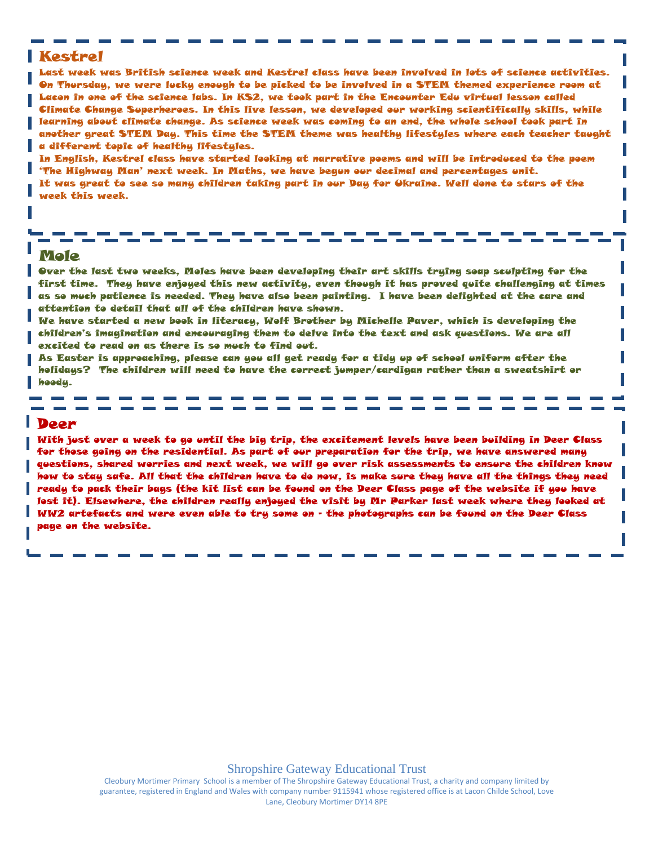#### Kestrel

Last week was British science week and Kestrel class have been involved in lots of science activities. On Thursday, we were lucky enough to be picked to be involved in a STEM themed experience room at Lacon in one of the science labs. In KS2, we took part in the Encounter Edu virtual lesson called Climate Change Superheroes. In this live lesson, we developed our working scientifically skills, while learning about climate change. As science week was coming to an end, the whole school took part in another great STEM Day. This time the STEM theme was healthy lifestyles where each teacher taught a different topic of healthy lifestyles.

In English, Kestrel class have started looking at narrative poems and will be introduced to the poem 'The Highway Man' next week. In Maths, we have begun our decimal and percentages unit. It was great to see so many children taking part in our Day for Ukraine. Well done to stars of the week this week.

#### Mole

Over the last two weeks, Moles have been developing their art skills trying soap sculpting for the first time. They have enjoyed this new activity, even though it has proved quite challenging at times as so much patience is needed. They have also been painting. I have been delighted at the care and attention to detail that all of the children have shown.

We have started a new book in literacy, Wolf Brother by Michelle Paver, which is developing the children's imagination and encouraging them to delve into the text and ask questions. We are all excited to read on as there is so much to find out.

As Easter is approaching, please can you all get ready for a tidy up of school uniform after the holidays? The children will need to have the correct jumper/cardigan rather than a sweatshirt or hoody.

#### **Deer**

With just over a week to go until the big trip, the excitement levels have been building in Deer Class for those going on the residential. As part of our preparation for the trip, we have answered many questions, shared worries and next week, we will go over risk assessments to ensure the children know how to stay safe. All that the children have to do now, is make sure they have all the things they need ready to pack their bags (the kit list can be found on the Deer Class page of the website if you have lost it). Elsewhere, the children really enjoyed the visit by Mr Parker last week where they looked at WW2 artefacts and were even able to try some on – the photographs can be found on the Deer Class page on the website.

Cleobury Mortimer Primary School is a member of The Shropshire Gateway Educational Trust, a charity and company limited by guarantee, registered in England and Wales with company number 9115941 whose registered office is at Lacon Childe School, Love Lane, Cleobury Mortimer DY14 8PE